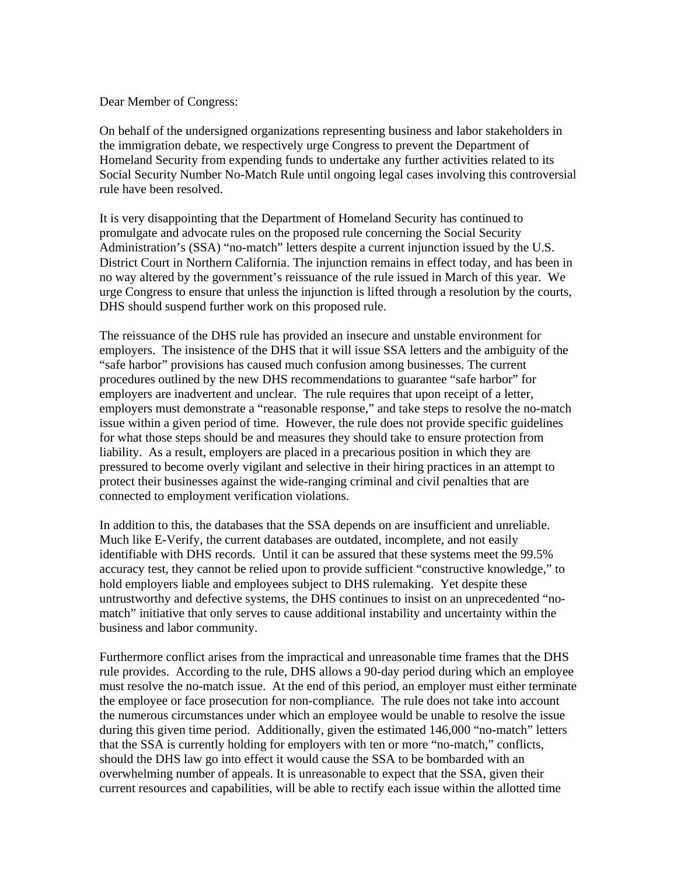Dear Member of Congress:

On behalf of the undersigned organizations representing business and labor stakeholders in the immigration debate, we respectively urge Congress to prevent the Department of Homeland Security from expending funds to undertake any further activities related to its Social Security Number No-Match Rule until ongoing legal cases involving this controversial rule have been resolved.

It is very disappointing that the Department of Homeland Security has continued to promulgate and advocate rules on the proposed rule concerning the Social Security Administration's (SSA) "no-match" letters despite a current injunction issued by the U.S. District Court in Northern California. The injunction remains in effect today, and has been in no way altered by the government's reissuance of the rule issued in March of this year. We urge Congress to ensure that unless the injunction is lifted through a resolution by the courts, DHS should suspend further work on this proposed rule.

The reissuance of the DHS rule has provided an insecure and unstable environment for employers. The insistence of the DHS that it will issue SSA letters and the ambiguity of the "safe harbor" provisions has caused much confusion among businesses. The current procedures outlined by the new DHS recommendations to guarantee "safe harbor" for employers are inadvertent and unclear. The rule requires that upon receipt of a letter, employers must demonstrate a "reasonable response," and take steps to resolve the no-match issue within a given period of time. However, the rule does not provide specific guidelines for what those steps should be and measures they should take to ensure protection from liability. As a result, employers are placed in a precarious position in which they are pressured to become overly vigilant and selective in their hiring practices in an attempt to protect their businesses against the wide-ranging criminal and civil penalties that are connected to employment verification violations.

In addition to this, the databases that the SSA depends on are insufficient and unreliable. Much like E-Verify, the current databases are outdated, incomplete, and not easily identifiable with DHS records. Until it can be assured that these systems meet the 99.5% accuracy test, they cannot be relied upon to provide sufficient "constructive knowledge," to hold employers liable and employees subject to DHS rulemaking. Yet despite these untrustworthy and defective systems, the DHS continues to insist on an unprecedented "nomatch" initiative that only serves to cause additional instability and uncertainty within the business and labor community.

Furthermore conflict arises from the impractical and unreasonable time frames that the DHS rule provides. According to the rule, DHS allows a 90-day period during which an employee must resolve the no-match issue. At the end of this period, an employer must either terminate the employee or face prosecution for non-compliance. The rule does not take into account the numerous circumstances under which an employee would be unable to resolve the issue during this given time period. Additionally, given the estimated 146,000 "no-match" letters that the SSA is currently holding for employers with ten or more "no-match," conflicts, should the DHS law go into effect it would cause the SSA to be bombarded with an overwhelming number of appeals. It is unreasonable to expect that the SSA, given their current resources and capabilities, will be able to rectify each issue within the allotted time